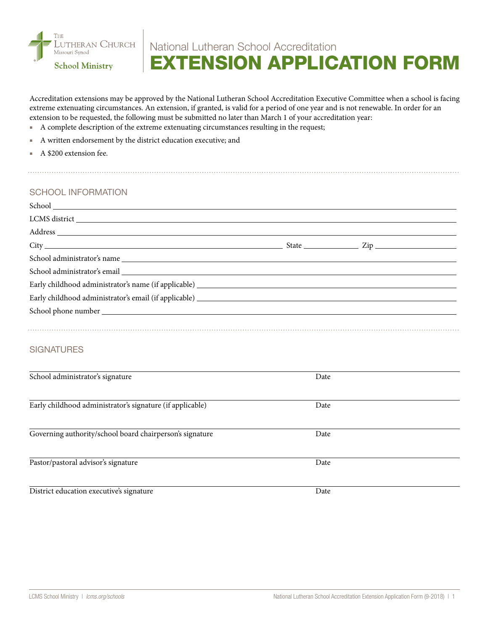

## National Lutheran School Accreditation EXTENSION APPLICATION FORM

Accreditation extensions may be approved by the National Lutheran School Accreditation Executive Committee when a school is facing extreme extenuating circumstances. An extension, if granted, is valid for a period of one year and is not renewable. In order for an extension to be requested, the following must be submitted no later than March 1 of your accreditation year:

- A complete description of the extreme extenuating circumstances resulting in the request;
- A written endorsement by the district education executive; and
- A \$200 extension fee.

## SCHOOL INFORMATION

| Early childhood administrator's email (if applicable) example and the state of the state of the state of the state of the state of the state of the state of the state of the state of the state of the state of the state of |      |  |
|-------------------------------------------------------------------------------------------------------------------------------------------------------------------------------------------------------------------------------|------|--|
|                                                                                                                                                                                                                               |      |  |
|                                                                                                                                                                                                                               |      |  |
|                                                                                                                                                                                                                               |      |  |
| <b>SIGNATURES</b>                                                                                                                                                                                                             |      |  |
|                                                                                                                                                                                                                               |      |  |
| School administrator's signature                                                                                                                                                                                              | Date |  |
|                                                                                                                                                                                                                               |      |  |
| Early childhood administrator's signature (if applicable)                                                                                                                                                                     | Date |  |
|                                                                                                                                                                                                                               |      |  |
| Governing authority/school board chairperson's signature                                                                                                                                                                      | Date |  |
|                                                                                                                                                                                                                               |      |  |

Pastor/pastoral advisor's signature Date

District education executive's signature Date